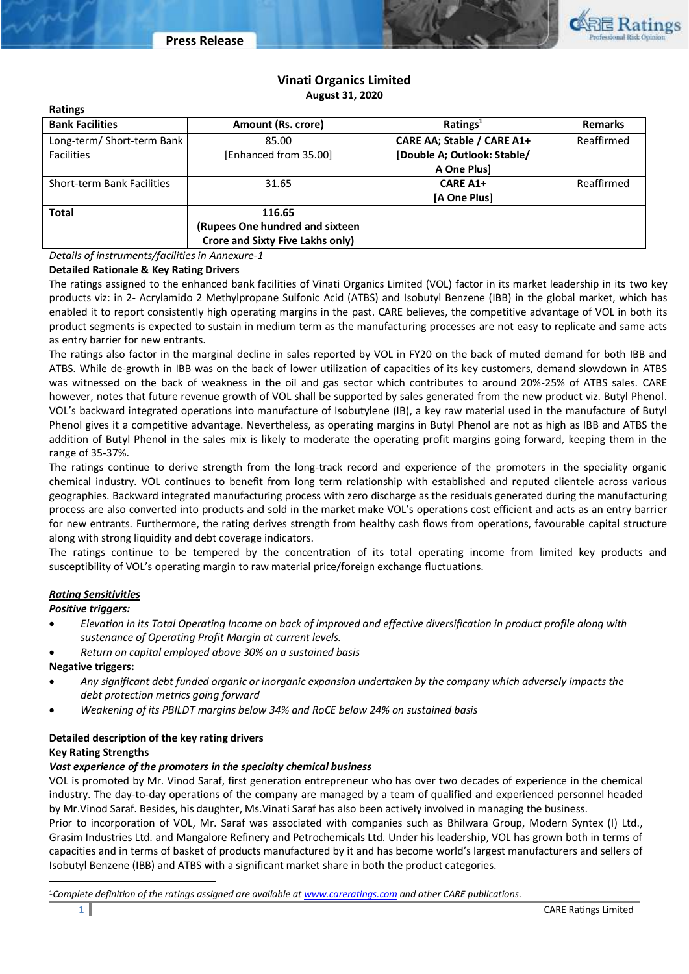

# **Vinati Organics Limited August 31, 2020**

| <b>Ratings</b>             |                                  |                             |                |
|----------------------------|----------------------------------|-----------------------------|----------------|
| <b>Bank Facilities</b>     | Amount (Rs. crore)               | Ratings <sup>1</sup>        | <b>Remarks</b> |
| Long-term/ Short-term Bank | 85.00                            | CARE AA; Stable / CARE A1+  | Reaffirmed     |
| <b>Facilities</b>          | [Enhanced from 35.00]            | [Double A; Outlook: Stable/ |                |
|                            |                                  | A One Plus]                 |                |
| Short-term Bank Facilities | 31.65                            | <b>CARE A1+</b>             | Reaffirmed     |
|                            |                                  | [A One Plus]                |                |
| <b>Total</b>               | 116.65                           |                             |                |
|                            | (Rupees One hundred and sixteen  |                             |                |
|                            | Crore and Sixty Five Lakhs only) |                             |                |

*Details of instruments/facilities in Annexure-1*

## **Detailed Rationale & Key Rating Drivers**

The ratings assigned to the enhanced bank facilities of Vinati Organics Limited (VOL) factor in its market leadership in its two key products viz: in 2- Acrylamido 2 Methylpropane Sulfonic Acid (ATBS) and Isobutyl Benzene (IBB) in the global market, which has enabled it to report consistently high operating margins in the past. CARE believes, the competitive advantage of VOL in both its product segments is expected to sustain in medium term as the manufacturing processes are not easy to replicate and same acts as entry barrier for new entrants.

The ratings also factor in the marginal decline in sales reported by VOL in FY20 on the back of muted demand for both IBB and ATBS. While de-growth in IBB was on the back of lower utilization of capacities of its key customers, demand slowdown in ATBS was witnessed on the back of weakness in the oil and gas sector which contributes to around 20%-25% of ATBS sales. CARE however, notes that future revenue growth of VOL shall be supported by sales generated from the new product viz. Butyl Phenol. VOL's backward integrated operations into manufacture of Isobutylene (IB), a key raw material used in the manufacture of Butyl Phenol gives it a competitive advantage. Nevertheless, as operating margins in Butyl Phenol are not as high as IBB and ATBS the addition of Butyl Phenol in the sales mix is likely to moderate the operating profit margins going forward, keeping them in the range of 35-37%.

The ratings continue to derive strength from the long-track record and experience of the promoters in the speciality organic chemical industry. VOL continues to benefit from long term relationship with established and reputed clientele across various geographies. Backward integrated manufacturing process with zero discharge as the residuals generated during the manufacturing process are also converted into products and sold in the market make VOL's operations cost efficient and acts as an entry barrier for new entrants. Furthermore, the rating derives strength from healthy cash flows from operations, favourable capital structure along with strong liquidity and debt coverage indicators.

The ratings continue to be tempered by the concentration of its total operating income from limited key products and susceptibility of VOL's operating margin to raw material price/foreign exchange fluctuations.

## *Rating Sensitivities*

#### *Positive triggers:*

- *Elevation in its Total Operating Income on back of improved and effective diversification in product profile along with sustenance of Operating Profit Margin at current levels.*
- *Return on capital employed above 30% on a sustained basis*

#### **Negative triggers:**

- *Any significant debt funded organic or inorganic expansion undertaken by the company which adversely impacts the debt protection metrics going forward*
- *Weakening of its PBILDT margins below 34% and RoCE below 24% on sustained basis*

## **Detailed description of the key rating drivers**

### **Key Rating Strengths**

 $\overline{a}$ 

## *Vast experience of the promoters in the specialty chemical business*

VOL is promoted by Mr. Vinod Saraf, first generation entrepreneur who has over two decades of experience in the chemical industry. The day-to-day operations of the company are managed by a team of qualified and experienced personnel headed by Mr.Vinod Saraf. Besides, his daughter, Ms.Vinati Saraf has also been actively involved in managing the business.

Prior to incorporation of VOL, Mr. Saraf was associated with companies such as Bhilwara Group, Modern Syntex (I) Ltd., Grasim Industries Ltd. and Mangalore Refinery and Petrochemicals Ltd. Under his leadership, VOL has grown both in terms of capacities and in terms of basket of products manufactured by it and has become world's largest manufacturers and sellers of Isobutyl Benzene (IBB) and ATBS with a significant market share in both the product categories.

<sup>1</sup>*Complete definition of the ratings assigned are available at [www.careratings.com](http://www.careratings.com/) and other CARE publications.*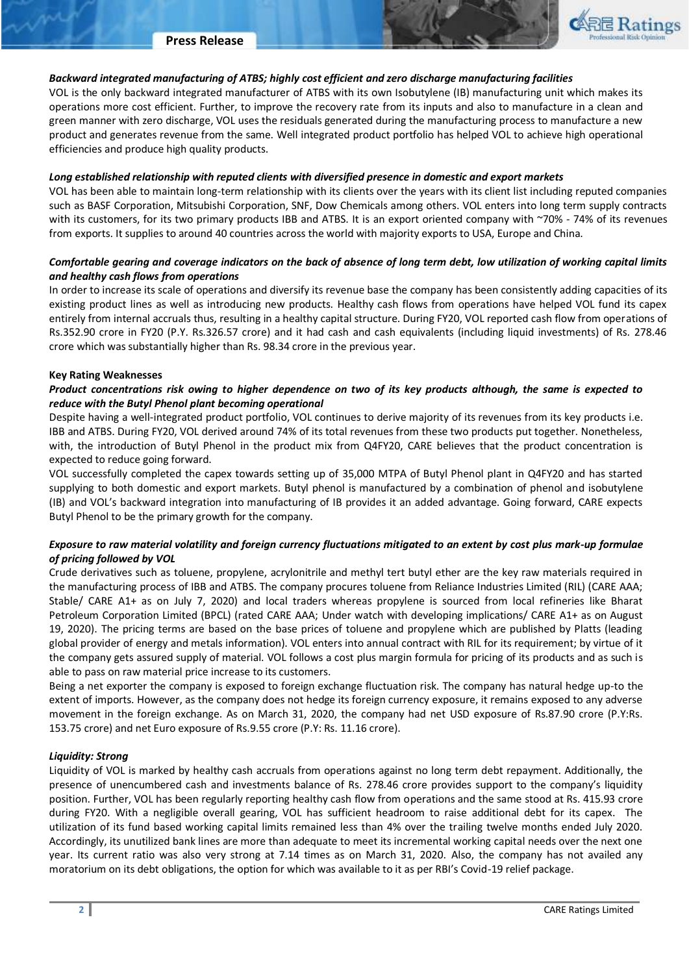## *Backward integrated manufacturing of ATBS; highly cost efficient and zero discharge manufacturing facilities*

VOL is the only backward integrated manufacturer of ATBS with its own Isobutylene (IB) manufacturing unit which makes its operations more cost efficient. Further, to improve the recovery rate from its inputs and also to manufacture in a clean and green manner with zero discharge, VOL uses the residuals generated during the manufacturing process to manufacture a new product and generates revenue from the same. Well integrated product portfolio has helped VOL to achieve high operational efficiencies and produce high quality products.

#### *Long established relationship with reputed clients with diversified presence in domestic and export markets*

VOL has been able to maintain long-term relationship with its clients over the years with its client list including reputed companies such as BASF Corporation, Mitsubishi Corporation, SNF, Dow Chemicals among others. VOL enters into long term supply contracts with its customers, for its two primary products IBB and ATBS. It is an export oriented company with ~70% - 74% of its revenues from exports. It supplies to around 40 countries across the world with majority exports to USA, Europe and China.

## *Comfortable gearing and coverage indicators on the back of absence of long term debt, low utilization of working capital limits and healthy cash flows from operations*

In order to increase its scale of operations and diversify its revenue base the company has been consistently adding capacities of its existing product lines as well as introducing new products. Healthy cash flows from operations have helped VOL fund its capex entirely from internal accruals thus, resulting in a healthy capital structure. During FY20, VOL reported cash flow from operations of Rs.352.90 crore in FY20 (P.Y. Rs.326.57 crore) and it had cash and cash equivalents (including liquid investments) of Rs. 278.46 crore which was substantially higher than Rs. 98.34 crore in the previous year.

#### **Key Rating Weaknesses**

## *Product concentrations risk owing to higher dependence on two of its key products although, the same is expected to reduce with the Butyl Phenol plant becoming operational*

Despite having a well-integrated product portfolio, VOL continues to derive majority of its revenues from its key products i.e. IBB and ATBS. During FY20, VOL derived around 74% of its total revenues from these two products put together. Nonetheless, with, the introduction of Butyl Phenol in the product mix from Q4FY20, CARE believes that the product concentration is expected to reduce going forward.

VOL successfully completed the capex towards setting up of 35,000 MTPA of Butyl Phenol plant in Q4FY20 and has started supplying to both domestic and export markets. Butyl phenol is manufactured by a combination of phenol and isobutylene (IB) and VOL's backward integration into manufacturing of IB provides it an added advantage. Going forward, CARE expects Butyl Phenol to be the primary growth for the company.

## *Exposure to raw material volatility and foreign currency fluctuations mitigated to an extent by cost plus mark-up formulae of pricing followed by VOL*

Crude derivatives such as toluene, propylene, acrylonitrile and methyl tert butyl ether are the key raw materials required in the manufacturing process of IBB and ATBS. The company procures toluene from Reliance Industries Limited (RIL) (CARE AAA; Stable/ CARE A1+ as on July 7, 2020) and local traders whereas propylene is sourced from local refineries like Bharat Petroleum Corporation Limited (BPCL) (rated CARE AAA; Under watch with developing implications/ CARE A1+ as on August 19, 2020). The pricing terms are based on the base prices of toluene and propylene which are published by Platts (leading global provider of energy and metals information). VOL enters into annual contract with RIL for its requirement; by virtue of it the company gets assured supply of material. VOL follows a cost plus margin formula for pricing of its products and as such is able to pass on raw material price increase to its customers.

Being a net exporter the company is exposed to foreign exchange fluctuation risk. The company has natural hedge up-to the extent of imports. However, as the company does not hedge its foreign currency exposure, it remains exposed to any adverse movement in the foreign exchange. As on March 31, 2020, the company had net USD exposure of Rs.87.90 crore (P.Y:Rs. 153.75 crore) and net Euro exposure of Rs.9.55 crore (P.Y: Rs. 11.16 crore).

### *Liquidity: Strong*

Liquidity of VOL is marked by healthy cash accruals from operations against no long term debt repayment. Additionally, the presence of unencumbered cash and investments balance of Rs. 278.46 crore provides support to the company's liquidity position. Further, VOL has been regularly reporting healthy cash flow from operations and the same stood at Rs. 415.93 crore during FY20. With a negligible overall gearing, VOL has sufficient headroom to raise additional debt for its capex. The utilization of its fund based working capital limits remained less than 4% over the trailing twelve months ended July 2020. Accordingly, its unutilized bank lines are more than adequate to meet its incremental working capital needs over the next one year. Its current ratio was also very strong at 7.14 times as on March 31, 2020. Also, the company has not availed any moratorium on its debt obligations, the option for which was available to it as per RBI's Covid-19 relief package.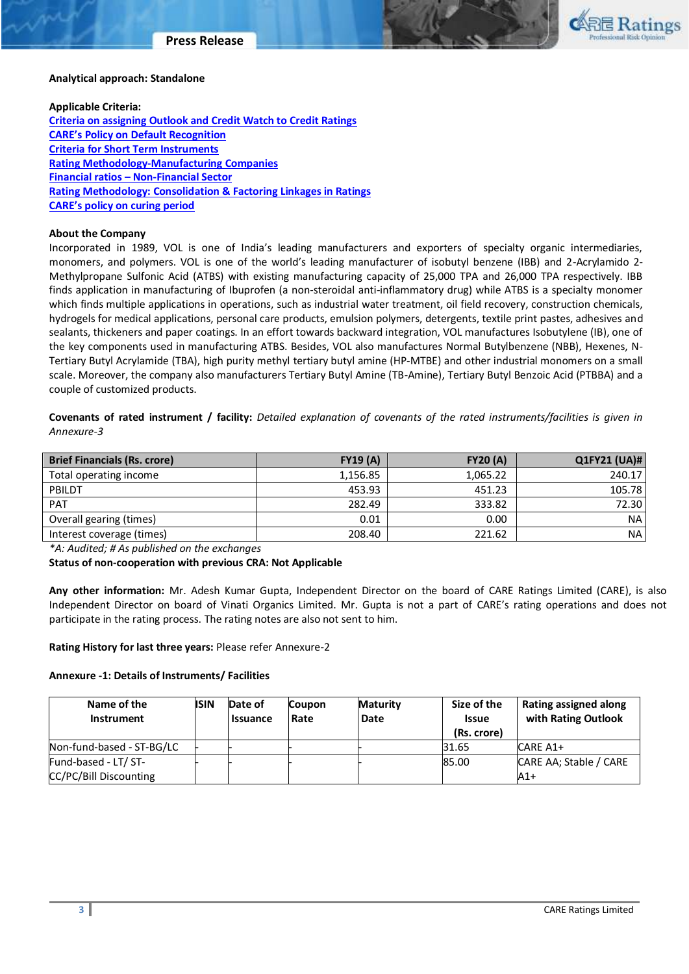

#### **Analytical approach: Standalone**

#### **Applicable Criteria:**

**[Criteria on assigning Outlook and Credit Watch to Credit Ratings](https://www.careratings.com/pdf/resources/Rating%20Outlook%20and%20credit%20watch%20_30May%202020.pdf) [CARE's Policy on Default Recognition](https://www.careratings.com/pdf/resources/CARE) [Criteria for Short Term Instruments](https://www.careratings.com/upload/NewsFiles/GetRated/Short%20Term%20Instruments%20_Mar%202020.pdf) [Rating Methodology-Manufacturing Companies](https://www.careratings.com/upload/NewsFiles/GetRated/Rating%20Methodology%20-%20Manufacturing%20Companies_16Sept2019.pdf) Financial ratios – [Non-Financial Sector](https://www.careratings.com/pdf/resources/Financial%20ratios%20-%20Non%20Financial%20Sector-Sept2019.pdf) [Rating Methodology: Consolidation & Factoring Linkages in Ratings](https://www.careratings.com/upload/NewsFiles/GetRated/Rating%20Methodology%20-%20Consolidation%20&%20Factoring%20Linkages%20in%20Ratings-Oct-19.pdf) [CARE's policy on curing period](https://www.careratings.com/pdf/resources/CARE)**

#### **About the Company**

Incorporated in 1989, VOL is one of India's leading manufacturers and exporters of specialty organic intermediaries, monomers, and polymers. VOL is one of the world's leading manufacturer of isobutyl benzene (IBB) and 2-Acrylamido 2- Methylpropane Sulfonic Acid (ATBS) with existing manufacturing capacity of 25,000 TPA and 26,000 TPA respectively. IBB finds application in manufacturing of Ibuprofen (a non-steroidal anti-inflammatory drug) while ATBS is a specialty monomer which finds multiple applications in operations, such as industrial water treatment, oil field recovery, construction chemicals, hydrogels for medical applications, personal care products, emulsion polymers, detergents, textile print pastes, adhesives and sealants, thickeners and paper coatings. In an effort towards backward integration, VOL manufactures Isobutylene (IB), one of the key components used in manufacturing ATBS. Besides, VOL also manufactures Normal Butylbenzene (NBB), Hexenes, N-Tertiary Butyl Acrylamide (TBA), high purity methyl tertiary butyl amine (HP-MTBE) and other industrial monomers on a small scale. Moreover, the company also manufacturers Tertiary Butyl Amine (TB-Amine), Tertiary Butyl Benzoic Acid (PTBBA) and a couple of customized products.

**Covenants of rated instrument / facility:** *Detailed explanation of covenants of the rated instruments/facilities is given in Annexure-3*

| <b>Brief Financials (Rs. crore)</b> | FY19(A)  | <b>FY20 (A)</b> | Q1FY21 (UA)# |
|-------------------------------------|----------|-----------------|--------------|
| Total operating income              | 1,156.85 | 1.065.22        | 240.17       |
| PBILDT                              | 453.93   | 451.23          | 105.78       |
| <b>PAT</b>                          | 282.49   | 333.82          | 72.30        |
| Overall gearing (times)             | 0.01     | 0.00            | NA.          |
| Interest coverage (times)           | 208.40   | 221.62          | <b>NA</b>    |

*\*A: Audited; # As published on the exchanges* 

**Status of non-cooperation with previous CRA: Not Applicable** 

**Any other information:** Mr. Adesh Kumar Gupta, Independent Director on the board of CARE Ratings Limited (CARE), is also Independent Director on board of Vinati Organics Limited. Mr. Gupta is not a part of CARE's rating operations and does not participate in the rating process. The rating notes are also not sent to him.

**Rating History for last three years:** Please refer Annexure-2

### **Annexure -1: Details of Instruments/ Facilities**

| Name of the<br><b>Instrument</b> | <b>ISIN</b> | Date of<br><b>Issuance</b> | <b>Coupon</b><br>Rate | <b>Maturity</b><br>Date | Size of the<br><b>Issue</b><br>(Rs. crore) | <b>Rating assigned along</b><br>with Rating Outlook |
|----------------------------------|-------------|----------------------------|-----------------------|-------------------------|--------------------------------------------|-----------------------------------------------------|
| Non-fund-based - ST-BG/LC        |             |                            |                       |                         | 31.65                                      | CARE A1+                                            |
| Fund-based - LT/ ST-             |             |                            |                       |                         | 85.00                                      | CARE AA; Stable / CARE                              |
| CC/PC/Bill Discounting           |             |                            |                       |                         |                                            | $A1+$                                               |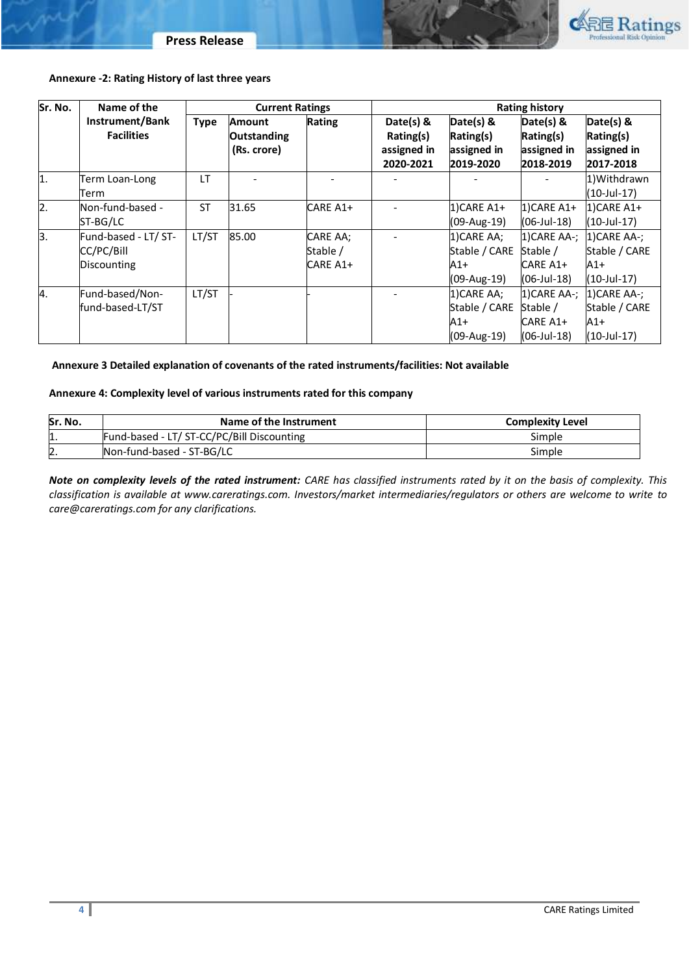

## **Annexure -2: Rating History of last three years**

| Sr. No.          | Name of the                                       | <b>Current Ratings</b> |                                                    |                                  | <b>Rating history</b>                              |                                                      |                                                     |                                                       |
|------------------|---------------------------------------------------|------------------------|----------------------------------------------------|----------------------------------|----------------------------------------------------|------------------------------------------------------|-----------------------------------------------------|-------------------------------------------------------|
|                  | Instrument/Bank<br><b>Facilities</b>              | <b>Type</b>            | <b>Amount</b><br><b>Outstanding</b><br>(Rs. crore) | Rating                           | Date(s) &<br>Rating(s)<br>assigned in<br>2020-2021 | Date(s) &<br>Rating(s)<br>assigned in<br>2019-2020   | Date(s) &<br>Rating(s)<br>assigned in<br>2018-2019  | Date(s) &<br>Rating(s)<br>assigned in<br>2017-2018    |
| $\overline{1}$ . | Term Loan-Long<br>Term                            | LT                     |                                                    |                                  |                                                    |                                                      |                                                     | 1)Withdrawn<br>(10-Jul-17)                            |
| $\overline{2}$ . | Non-fund-based -<br>ST-BG/LC                      | <b>ST</b>              | 31.65                                              | CARE A1+                         |                                                    | $1)$ CARE A1+<br>(09-Aug-19)                         | $1)$ CARE A1+<br>(06-Jul-18)                        | $1)$ CARE A1+<br>(10-Jul-17)                          |
| lз.              | Fund-based - LT/ ST-<br>CC/PC/Bill<br>Discounting | LT/ST                  | 85.00                                              | CARE AA;<br>Stable /<br>CARE A1+ |                                                    | 1) CARE AA;<br>Stable / CARE<br>$A1+$<br>(09-Aug-19) | 1) CARE AA-;<br>Stable /<br>CARE A1+<br>(06-Jul-18) | 1) CARE AA-;<br>Stable / CARE<br>$A1+$<br>(10-Jul-17) |
| 4.               | Fund-based/Non-<br>fund-based-LT/ST               | LT/ST                  |                                                    |                                  |                                                    | 1) CARE AA;<br>Stable / CARE<br>A1+<br>(09-Aug-19)   | 1) CARE AA-;<br>Stable /<br>CARE A1+<br>(06-Jul-18) | 1) CARE AA-;<br>Stable / CARE<br>$A1+$<br>(10-Jul-17) |

## **Annexure 3 Detailed explanation of covenants of the rated instruments/facilities: Not available**

### **Annexure 4: Complexity level of various instruments rated for this company**

| Sr. No.      | Name of the Instrument                     | <b>Complexity Level</b> |
|--------------|--------------------------------------------|-------------------------|
| 11.          | Fund-based - LT/ ST-CC/PC/Bill Discounting | Simple                  |
| $\mathsf{D}$ | Non-fund-based - ST-BG/LC                  | Simple                  |

*Note on complexity levels of the rated instrument: CARE has classified instruments rated by it on the basis of complexity. This classification is available at www.careratings.com. Investors/market intermediaries/regulators or others are welcome to write to care@careratings.com for any clarifications.*